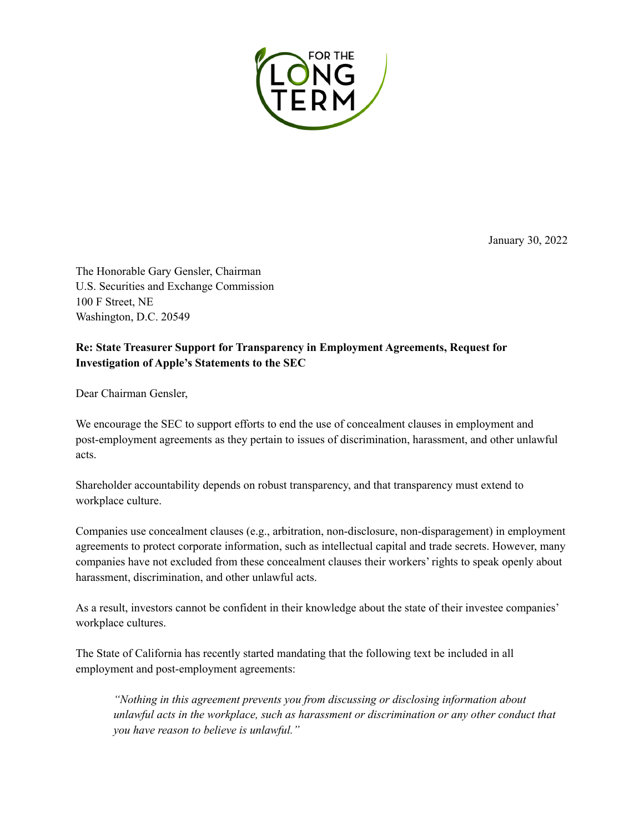

January 30, 2022

The Honorable Gary Gensler, Chairman U.S. Securities and Exchange Commission 100 F Street, NE Washington, D.C. 20549

## **Re: State Treasurer Support for Transparency in Employment Agreements, Request for Investigation of Apple's Statements to the SEC**

Dear Chairman Gensler,

We encourage the SEC to support efforts to end the use of concealment clauses in employment and post-employment agreements as they pertain to issues of discrimination, harassment, and other unlawful acts.

Shareholder accountability depends on robust transparency, and that transparency must extend to workplace culture.

Companies use concealment clauses (e.g., arbitration, non-disclosure, non-disparagement) in employment agreements to protect corporate information, such as intellectual capital and trade secrets. However, many companies have not excluded from these concealment clauses their workers' rights to speak openly about harassment, discrimination, and other unlawful acts.

As a result, investors cannot be confident in their knowledge about the state of their investee companies' workplace cultures.

The State of California has recently started mandating that the following text be included in all employment and post-employment agreements:

*"Nothing in this agreement prevents you from discussing or disclosing information about unlawful acts in the workplace, such as harassment or discrimination or any other conduct that you have reason to believe is unlawful."*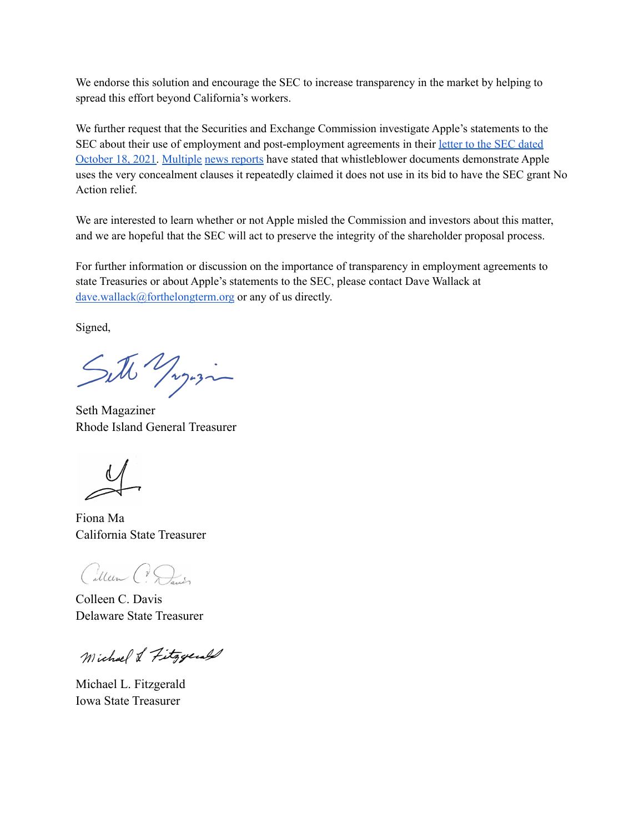We endorse this solution and encourage the SEC to increase transparency in the market by helping to spread this effort beyond California's workers.

We further request that the Securities and Exchange Commission investigate Apple's statements to the SEC about their use of employment and post-employment agreements in their letter to the SEC [dated](https://www.sec.gov/divisions/corpfin/cf-noaction/14a-8/2021/niaapple101821-14a8-incoming.pdf) [October](https://www.sec.gov/divisions/corpfin/cf-noaction/14a-8/2021/niaapple101821-14a8-incoming.pdf) 18, 2021. [Multiple](https://www.businessinsider.com/apple-sec-response-under-scrutiny-after-whistleblower-comes-forward) news [reports](https://www.reuters.com/world/us/former-apple-worker-inspires-washington-state-measure-seeking-curb-ndas-2021-11-24/) have stated that whistleblower documents demonstrate Apple uses the very concealment clauses it repeatedly claimed it does not use in its bid to have the SEC grant No Action relief.

We are interested to learn whether or not Apple misled the Commission and investors about this matter, and we are hopeful that the SEC will act to preserve the integrity of the shareholder proposal process.

For further information or discussion on the importance of transparency in employment agreements to state Treasuries or about Apple's statements to the SEC, please contact Dave Wallack at [dave.wallack@forthelongterm.org](mailto:dave.wallack@forthelongterm.org) or any of us directly.

Signed,

Sitte Yagosin

Seth Magaziner Rhode Island General Treasurer

Fiona Ma California State Treasurer

Cillen C. Davis

Colleen C. Davis Delaware State Treasurer

Michael & Fitzgerald

Michael L. Fitzgerald Iowa State Treasurer